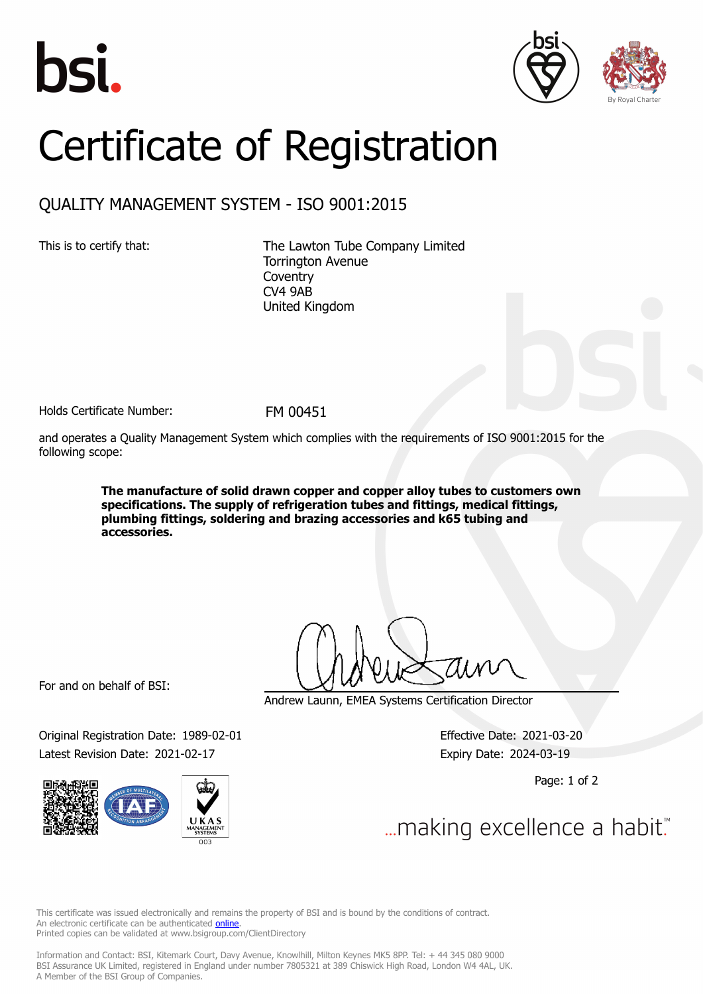





## Certificate of Registration

## QUALITY MANAGEMENT SYSTEM - ISO 9001:2015

This is to certify that: The Lawton Tube Company Limited Torrington Avenue **Coventry** CV4 9AB United Kingdom

Holds Certificate Number: FM 00451

and operates a Quality Management System which complies with the requirements of ISO 9001:2015 for the following scope:

> **The manufacture of solid drawn copper and copper alloy tubes to customers own specifications. The supply of refrigeration tubes and fittings, medical fittings, plumbing fittings, soldering and brazing accessories and k65 tubing and accessories.**

For and on behalf of BSI:

Original Registration Date: 1989-02-01 Effective Date: 2021-03-20 Latest Revision Date: 2021-02-17 Expiry Date: 2024-03-19



Andrew Launn, EMEA Systems Certification Director

Page: 1 of 2

... making excellence a habit."

This certificate was issued electronically and remains the property of BSI and is bound by the conditions of contract. An electronic certificate can be authenticated **[online](https://pgplus.bsigroup.com/CertificateValidation/CertificateValidator.aspx?CertificateNumber=FM+00451&ReIssueDate=17%2f02%2f2021&Template=uk)**. Printed copies can be validated at www.bsigroup.com/ClientDirectory

Information and Contact: BSI, Kitemark Court, Davy Avenue, Knowlhill, Milton Keynes MK5 8PP. Tel: + 44 345 080 9000 BSI Assurance UK Limited, registered in England under number 7805321 at 389 Chiswick High Road, London W4 4AL, UK. A Member of the BSI Group of Companies.